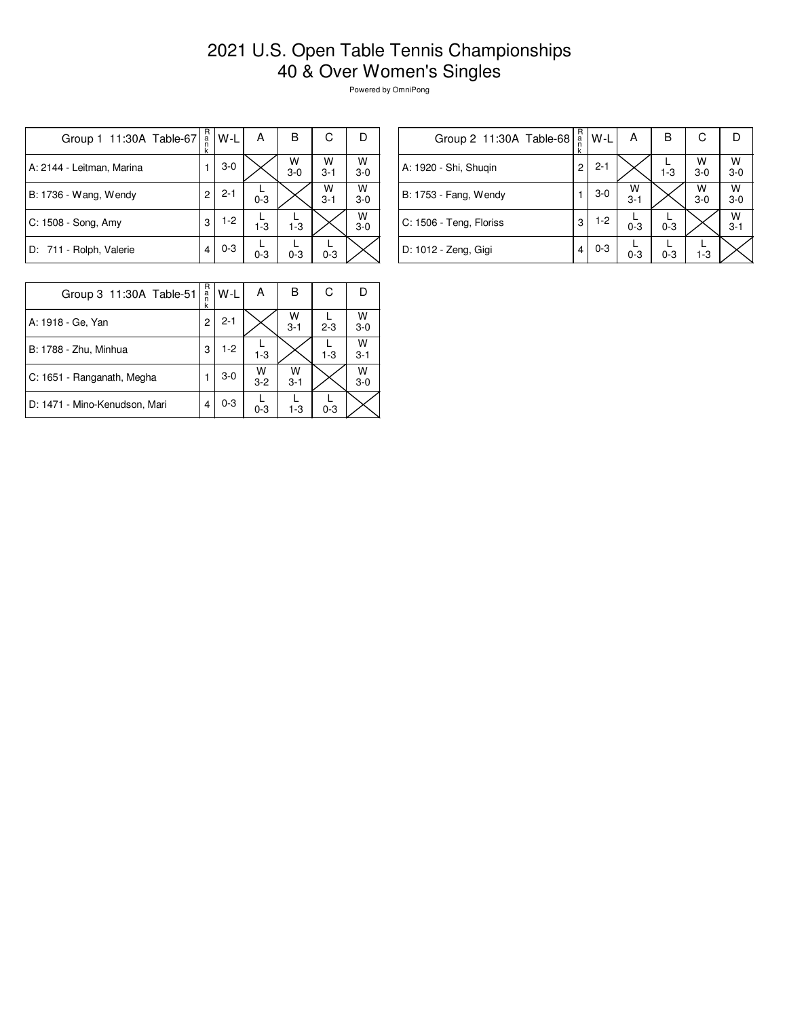## 2021 U.S. Open Table Tennis Championships 40 & Over Women's Singles

Powered by OmniPong

| Group 1 11:30A Table-67   | R<br>$\frac{a}{n}$<br>k | W-L     | А       | в          | С            | Ð          |
|---------------------------|-------------------------|---------|---------|------------|--------------|------------|
| A: 2144 - Leitman, Marina |                         | $3-0$   |         | W<br>$3-0$ | W<br>$3 - 1$ | W<br>$3-0$ |
| B: 1736 - Wang, Wendy     | 2                       | $2 - 1$ | $0 - 3$ |            | W<br>$3 - 1$ | W<br>$3-0$ |
| C: 1508 - Song, Amy       | 3                       | $1-2$   | $1 - 3$ | $1 - 3$    |              | W<br>$3-0$ |
| D: 711 - Rolph, Valerie   | 4                       | $0 - 3$ | $0 - 3$ | $0 - 3$    | $0 - 3$      |            |

| Group 2 11:30A Table-68 | R<br>$\frac{a}{n}$<br>k | W-L     | A            | В       | С          |              |
|-------------------------|-------------------------|---------|--------------|---------|------------|--------------|
| A: 1920 - Shi, Shugin   | 2                       | $2 - 1$ |              | $1 - 3$ | W<br>$3-0$ | W<br>$3-0$   |
| B: 1753 - Fang, Wendy   |                         | $3-0$   | W<br>$3 - 1$ |         | W<br>$3-0$ | w<br>$3-0$   |
| C: 1506 - Teng, Floriss | 3                       | $1-2$   | $0 - 3$      | $0 - 3$ |            | w<br>$3 - 1$ |
| D: 1012 - Zeng, Gigi    | 4                       | $0 - 3$ | $0 - 3$      | $0 - 3$ | $1-3$      |              |

| Group 3 11:30A Table-51       | R<br>a<br>k | W-L     | А                  | в            | С       |              |
|-------------------------------|-------------|---------|--------------------|--------------|---------|--------------|
| A: 1918 - Ge, Yan             | 2           | $2 - 1$ |                    | w<br>$3 - 1$ | $2 - 3$ | W<br>$3 - 0$ |
| B: 1788 - Zhu, Minhua         | 3           | $1-2$   | $1 - 3$            |              | $1 - 3$ | W<br>$3 - 1$ |
| C: 1651 - Ranganath, Megha    |             | $3-0$   | $W$ <sub>3-2</sub> | W<br>$3 - 1$ |         | W<br>$3 - 0$ |
| D: 1471 - Mino-Kenudson, Mari |             | $0 - 3$ | $0 - 3$            | $1-3$        | $0 - 3$ |              |